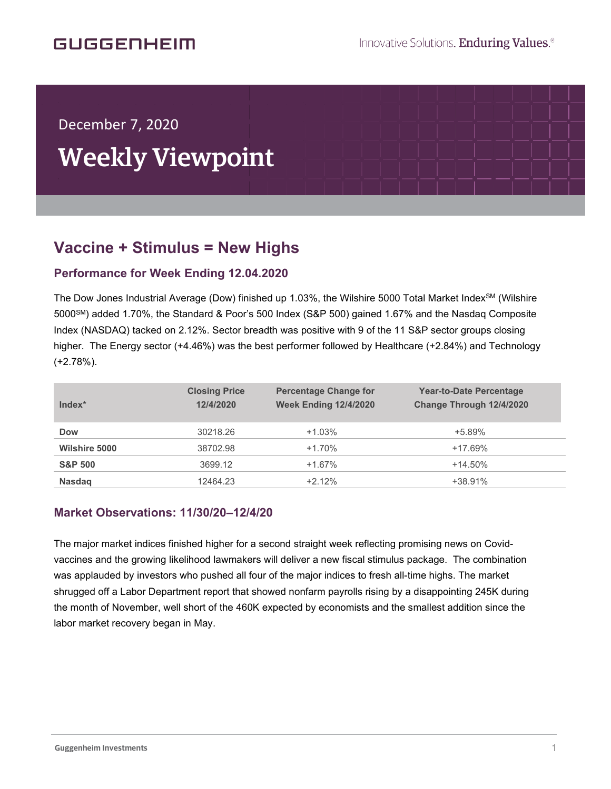## **GUGGENHEIM**

## December 7, 2020

í

# Weekly Viewpoint

## **Vaccine + Stimulus = New Highs**  $\overline{\phantom{a}}$

#### **Performance for Week Ending 12.04.2020**

The Dow Jones Industrial Average (Dow) finished up 1.03%, the Wilshire 5000 Total Market Index<sup>SM</sup> (Wilshire 5000SM) added 1.70%, the Standard & Poor's 500 Index (S&P 500) gained 1.67% and the Nasdaq Composite Index (NASDAQ) tacked on 2.12%. Sector breadth was positive with 9 of the 11 S&P sector groups closing higher. The Energy sector (+4.46%) was the best performer followed by Healthcare (+2.84%) and Technology (+2.78%).

| Index*               | <b>Closing Price</b><br>12/4/2020 | <b>Percentage Change for</b><br><b>Week Ending 12/4/2020</b> | <b>Year-to-Date Percentage</b><br>Change Through 12/4/2020 |
|----------------------|-----------------------------------|--------------------------------------------------------------|------------------------------------------------------------|
| <b>Dow</b>           | 30218.26                          | $+1.03%$                                                     | $+5.89%$                                                   |
| <b>Wilshire 5000</b> | 38702.98                          | $+1.70%$                                                     | $+17.69%$                                                  |
| <b>S&amp;P 500</b>   | 3699.12                           | $+1.67%$                                                     | $+14.50\%$                                                 |
| <b>Nasdag</b>        | 12464.23                          | $+2.12%$                                                     | $+38.91%$                                                  |

#### **Market Observations: 11/30/20–12/4/20**

The major market indices finished higher for a second straight week reflecting promising news on Covidvaccines and the growing likelihood lawmakers will deliver a new fiscal stimulus package. The combination was applauded by investors who pushed all four of the major indices to fresh all-time highs. The market shrugged off a Labor Department report that showed nonfarm payrolls rising by a disappointing 245K during the month of November, well short of the 460K expected by economists and the smallest addition since the labor market recovery began in May.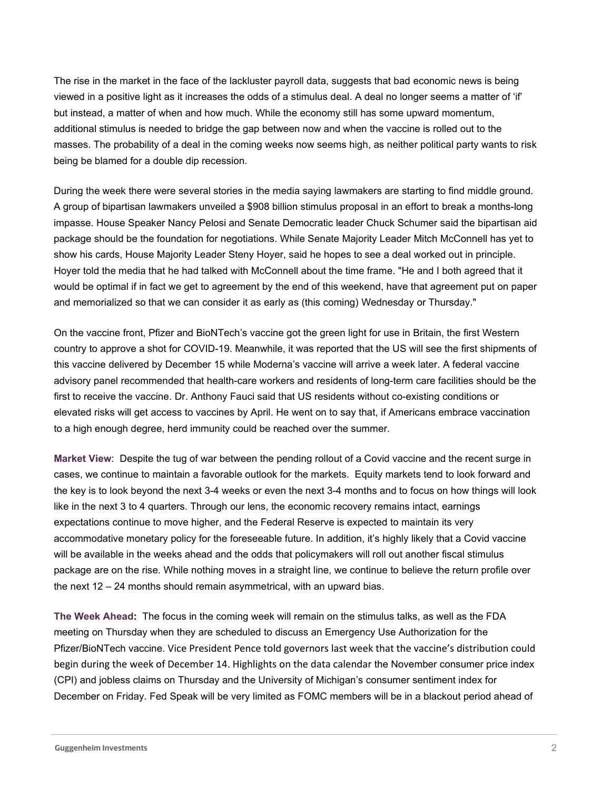The rise in the market in the face of the lackluster payroll data, suggests that bad economic news is being viewed in a positive light as it increases the odds of a stimulus deal. A deal no longer seems a matter of 'if' but instead, a matter of when and how much. While the economy still has some upward momentum, additional stimulus is needed to bridge the gap between now and when the vaccine is rolled out to the masses. The probability of a deal in the coming weeks now seems high, as neither political party wants to risk being be blamed for a double dip recession.

During the week there were several stories in the media saying lawmakers are starting to find middle ground. A group of bipartisan lawmakers unveiled a \$908 billion stimulus proposal in an effort to break a months-long impasse. House Speaker Nancy Pelosi and Senate Democratic leader Chuck Schumer said the bipartisan aid package should be the foundation for negotiations. While Senate Majority Leader Mitch McConnell has yet to show his cards, House Majority Leader Steny Hoyer, said he hopes to see a deal worked out in principle. Hoyer told the media that he had talked with McConnell about the time frame. "He and I both agreed that it would be optimal if in fact we get to agreement by the end of this weekend, have that agreement put on paper and memorialized so that we can consider it as early as (this coming) Wednesday or Thursday."

On the vaccine front, Pfizer and BioNTech's vaccine got the green light for use in Britain, the first Western country to approve a shot for COVID-19. Meanwhile, it was reported that the US will see the first shipments of this vaccine delivered by December 15 while Moderna's vaccine will arrive a week later. A federal vaccine advisory panel recommended that health-care workers and residents of long-term care facilities should be the first to receive the vaccine. Dr. Anthony Fauci said that US residents without co-existing conditions or elevated risks will get access to vaccines by April. He went on to say that, if Americans embrace vaccination to a high enough degree, herd immunity could be reached over the summer.

**Market View**: Despite the tug of war between the pending rollout of a Covid vaccine and the recent surge in cases, we continue to maintain a favorable outlook for the markets. Equity markets tend to look forward and the key is to look beyond the next 3-4 weeks or even the next 3-4 months and to focus on how things will look like in the next 3 to 4 quarters. Through our lens, the economic recovery remains intact, earnings expectations continue to move higher, and the Federal Reserve is expected to maintain its very accommodative monetary policy for the foreseeable future. In addition, it's highly likely that a Covid vaccine will be available in the weeks ahead and the odds that policymakers will roll out another fiscal stimulus package are on the rise. While nothing moves in a straight line, we continue to believe the return profile over the next 12 – 24 months should remain asymmetrical, with an upward bias.

**The Week Ahead:** The focus in the coming week will remain on the stimulus talks, as well as the FDA meeting on Thursday when they are scheduled to discuss an Emergency Use Authorization for the Pfizer/BioNTech vaccine. Vice President Pence told governors last week that the vaccine's distribution could begin during the week of December 14. Highlights on the data calendar the November consumer price index (CPI) and jobless claims on Thursday and the University of Michigan's consumer sentiment index for December on Friday. Fed Speak will be very limited as FOMC members will be in a blackout period ahead of